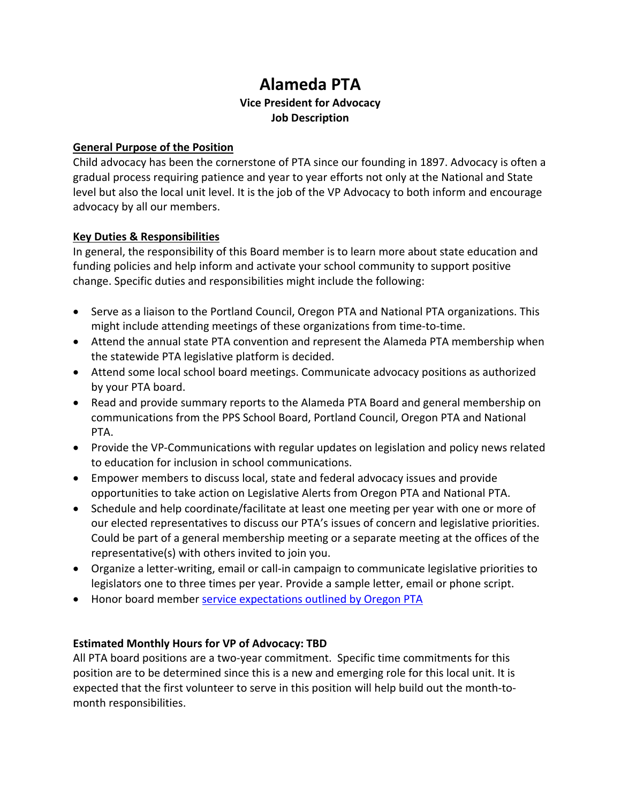# **Alameda PTA Vice President for Advocacy Job Description**

#### **General Purpose of the Position**

Child advocacy has been the cornerstone of PTA since our founding in 1897. Advocacy is often a gradual process requiring patience and year to year efforts not only at the National and State level but also the local unit level. It is the job of the VP Advocacy to both inform and encourage advocacy by all our members.

#### **Key Duties & Responsibilities**

In general, the responsibility of this Board member is to learn more about state education and funding policies and help inform and activate your school community to support positive change. Specific duties and responsibilities might include the following:

- Serve as a liaison to the Portland Council, Oregon PTA and National PTA organizations. This might include attending meetings of these organizations from time-to-time.
- Attend the annual state PTA convention and represent the Alameda PTA membership when the statewide PTA legislative platform is decided.
- Attend some local school board meetings. Communicate advocacy positions as authorized by your PTA board.
- Read and provide summary reports to the Alameda PTA Board and general membership on communications from the PPS School Board, Portland Council, Oregon PTA and National PTA.
- Provide the VP-Communications with regular updates on legislation and policy news related to education for inclusion in school communications.
- Empower members to discuss local, state and federal advocacy issues and provide opportunities to take action on Legislative Alerts from Oregon PTA and National PTA.
- Schedule and help coordinate/facilitate at least one meeting per year with one or more of our elected representatives to discuss our PTA's issues of concern and legislative priorities. Could be part of a general membership meeting or a separate meeting at the offices of the representative(s) with others invited to join you.
- Organize a letter-writing, email or call-in campaign to communicate legislative priorities to legislators one to three times per year. Provide a sample letter, email or phone script.
- Honor board member [service expectations outlined by Oregon PTA](https://www.oregonpta.org/assets/pages/files/Full_Officers_Manual_2017.pdf)

### **Estimated Monthly Hours for VP of Advocacy: TBD**

All PTA board positions are a two-year commitment. Specific time commitments for this position are to be determined since this is a new and emerging role for this local unit. It is expected that the first volunteer to serve in this position will help build out the month-tomonth responsibilities.